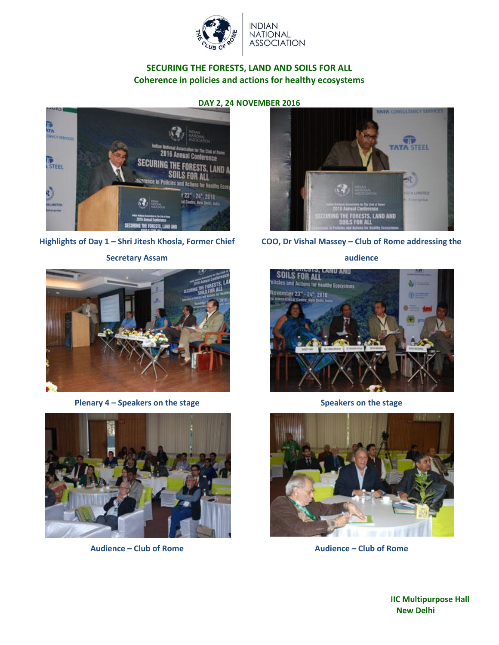



#### **Highlights of Day 1 – Shri Jitesh Khosla, Former Chief**

#### **Secretary Assam**



**Plenary 4 – Speakers on the stage Speakers on the stage**







#### **audience**





**Audience – Club of Rome Audience – Club of Rome**

**IIC Multipurpose Hall New Delhi**

#### **DAY 2, 24 NOVEMBER 2016**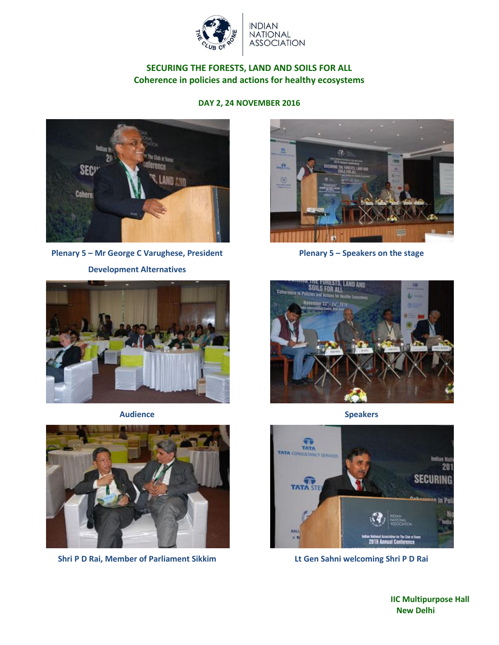

### **DAY 2, 24 NOVEMBER 2016**



**Plenary 5 – Mr George C Varughese, President Development Alternatives**





**Shri P D Rai, Member of Parliament Sikkim Lt Gen Sahni welcoming Shri P D Rai**



**Plenary 5 – Speakers on the stage**



**Audience Speakers**

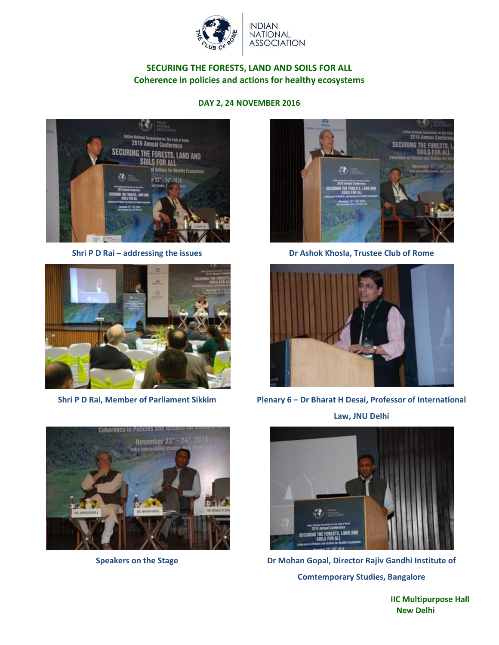

## **DAY 2, 24 NOVEMBER 2016**









**Shri P D Rai – addressing the issues Dr Ashok Khosla, Trustee Club of Rome** 



**Shri P D Rai, Member of Parliament Sikkim Plenary 6 – Dr Bharat H Desai, Professor of International** 

**Law, JNU Delhi**



**Speakers on the Stage Dr Mohan Gopal, Director Rajiv Gandhi Institute of Comtemporary Studies, Bangalore**

**IIC Multipurpose Hall New Delhi**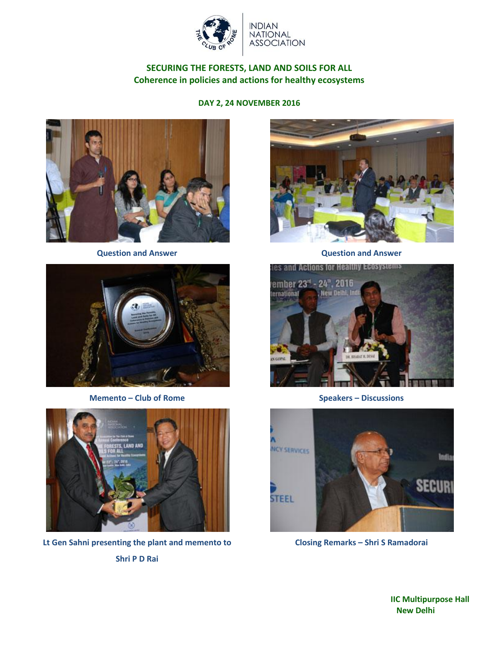

**DAY 2, 24 NOVEMBER 2016**





**Memento – Club of Rome Speakers – Discussions** 



**Lt Gen Sahni presenting the plant and memento to Shri P D Rai**



**Question and Answer Question and Answer**





**Closing Remarks – Shri S Ramadorai**